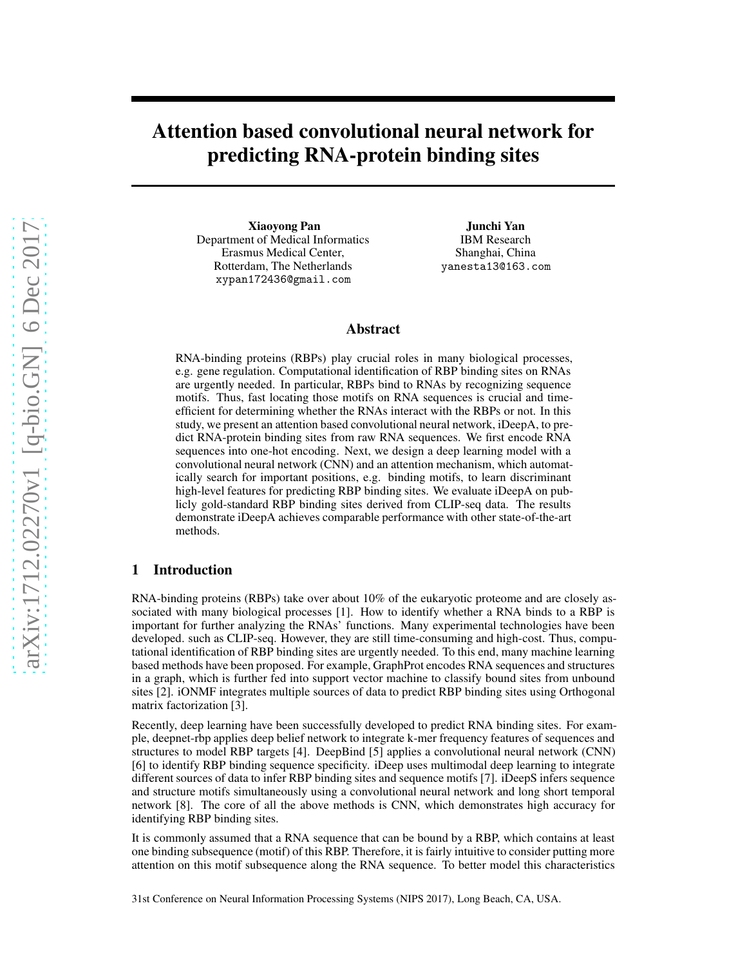# Attention based convolutional neural network for predicting RNA-protein binding sites

Xiaoyong Pan Department of Medical Informatics Erasmus Medical Center, Rotterdam, The Netherlands xypan172436@gmail.com

Junchi Yan IBM Research Shanghai, China yanesta13@163.com

## Abstract

RNA-binding proteins (RBPs) play crucial roles in many biological processes, e.g. gene regulation. Computational identification of RBP binding sites on RNAs are urgently needed. In particular, RBPs bind to RNAs by recognizing sequence motifs. Thus, fast locating those motifs on RNA sequences is crucial and timeefficient for determining whether the RNAs interact with the RBPs or not. In this study, we present an attention based convolutional neural network, iDeepA, to predict RNA-protein binding sites from raw RNA sequences. We first encode RNA sequences into one-hot encoding. Next, we design a deep learning model with a convolutional neural network (CNN) and an attention mechanism, which automatically search for important positions, e.g. binding motifs, to learn discriminant high-level features for predicting RBP binding sites. We evaluate iDeepA on publicly gold-standard RBP binding sites derived from CLIP-seq data. The results demonstrate iDeepA achieves comparable performance with other state-of-the-art methods.

# 1 Introduction

RNA-binding proteins (RBPs) take over about 10% of the eukaryotic proteome and are closely associated with many biological processes [1]. How to identify whether a RNA binds to a RBP is important for further analyzing the RNAs' functions. Many experimental technologies have been developed. such as CLIP-seq. However, they are still time-consuming and high-cost. Thus, computational identification of RBP binding sites are urgently needed. To this end, many machine learning based methods have been proposed. For example, GraphProt encodes RNA sequences and structures in a graph, which is further fed into support vector machine to classify bound sites from unbound sites [2]. iONMF integrates multiple sources of data to predict RBP binding sites using Orthogonal matrix factorization [3].

Recently, deep learning have been successfully developed to predict RNA binding sites. For example, deepnet-rbp applies deep belief network to integrate k-mer frequency features of sequences and structures to model RBP targets [4]. DeepBind [5] applies a convolutional neural network (CNN) [6] to identify RBP binding sequence specificity. iDeep uses multimodal deep learning to integrate different sources of data to infer RBP binding sites and sequence motifs [7]. iDeepS infers sequence and structure motifs simultaneously using a convolutional neural network and long short temporal network [8]. The core of all the above methods is CNN, which demonstrates high accuracy for identifying RBP binding sites.

It is commonly assumed that a RNA sequence that can be bound by a RBP, which contains at least one binding subsequence (motif) of this RBP. Therefore, it is fairly intuitive to consider putting more attention on this motif subsequence along the RNA sequence. To better model this characteristics

31st Conference on Neural Information Processing Systems (NIPS 2017), Long Beach, CA, USA.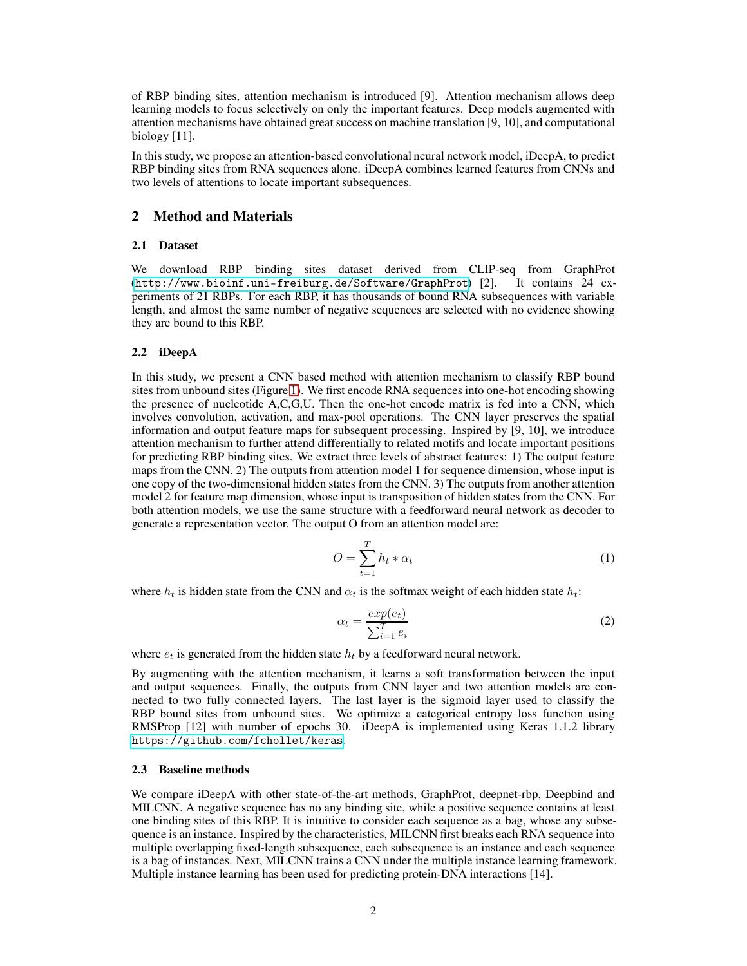of RBP binding sites, attention mechanism is introduced [9]. Attention mechanism allows deep learning models to focus selectively on only the important features. Deep models augmented with attention mechanisms have obtained great success on machine translation [9, 10], and computational biology [11].

In this study, we propose an attention-based convolutional neural network model, iDeepA, to predict RBP binding sites from RNA sequences alone. iDeepA combines learned features from CNNs and two levels of attentions to locate important subsequences.

## 2 Method and Materials

## 2.1 Dataset

We download RBP binding sites dataset derived from CLIP-seq from GraphProt (<http://www.bioinf.uni-freiburg.de/Software/GraphProt>) [2]. It contains 24 experiments of 21 RBPs. For each RBP, it has thousands of bound RNA subsequences with variable length, and almost the same number of negative sequences are selected with no evidence showing they are bound to this RBP.

#### 2.2 iDeepA

In this study, we present a CNN based method with attention mechanism to classify RBP bound sites from unbound sites (Figure [1\)](#page-2-0). We first encode RNA sequences into one-hot encoding showing the presence of nucleotide A,C,G,U. Then the one-hot encode matrix is fed into a CNN, which involves convolution, activation, and max-pool operations. The CNN layer preserves the spatial information and output feature maps for subsequent processing. Inspired by [9, 10], we introduce attention mechanism to further attend differentially to related motifs and locate important positions for predicting RBP binding sites. We extract three levels of abstract features: 1) The output feature maps from the CNN. 2) The outputs from attention model 1 for sequence dimension, whose input is one copy of the two-dimensional hidden states from the CNN. 3) The outputs from another attention model 2 for feature map dimension, whose input is transposition of hidden states from the CNN. For both attention models, we use the same structure with a feedforward neural network as decoder to generate a representation vector. The output O from an attention model are:

$$
O = \sum_{t=1}^{T} h_t * \alpha_t \tag{1}
$$

where  $h_t$  is hidden state from the CNN and  $\alpha_t$  is the softmax weight of each hidden state  $h_t$ :

$$
\alpha_t = \frac{\exp(e_t)}{\sum_{i=1}^T e_i} \tag{2}
$$

where  $e_t$  is generated from the hidden state  $h_t$  by a feedforward neural network.

By augmenting with the attention mechanism, it learns a soft transformation between the input and output sequences. Finally, the outputs from CNN layer and two attention models are connected to two fully connected layers. The last layer is the sigmoid layer used to classify the RBP bound sites from unbound sites. We optimize a categorical entropy loss function using RMSProp [12] with number of epochs 30. iDeepA is implemented using Keras 1.1.2 library <https://github.com/fchollet/keras>.

## 2.3 Baseline methods

We compare iDeepA with other state-of-the-art methods, GraphProt, deepnet-rbp, Deepbind and MILCNN. A negative sequence has no any binding site, while a positive sequence contains at least one binding sites of this RBP. It is intuitive to consider each sequence as a bag, whose any subsequence is an instance. Inspired by the characteristics, MILCNN first breaks each RNA sequence into multiple overlapping fixed-length subsequence, each subsequence is an instance and each sequence is a bag of instances. Next, MILCNN trains a CNN under the multiple instance learning framework. Multiple instance learning has been used for predicting protein-DNA interactions [14].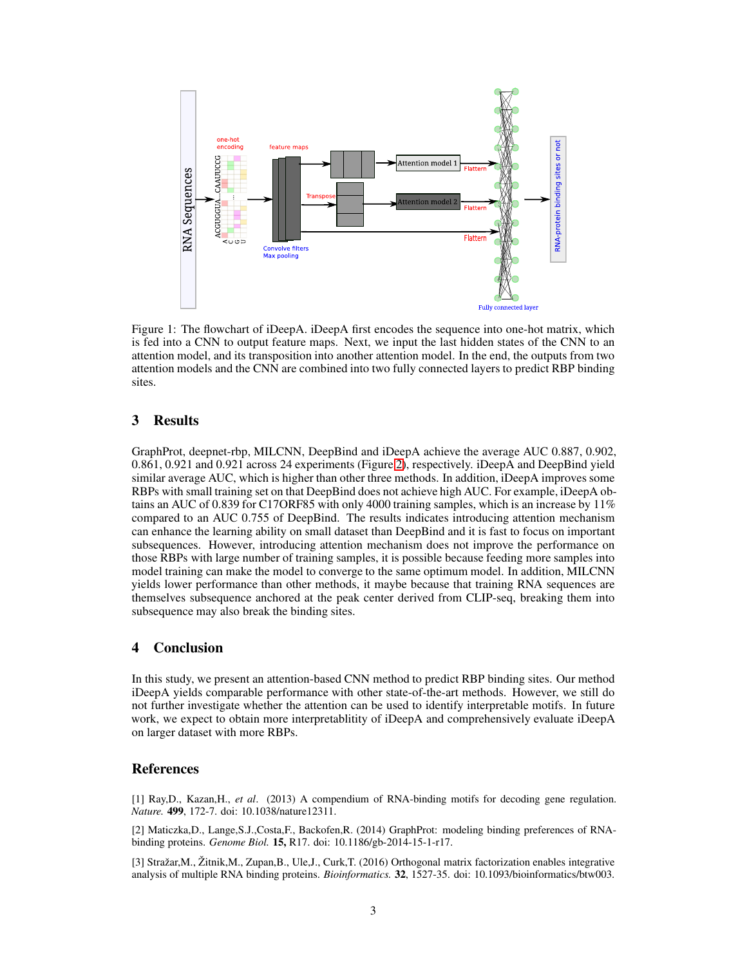

<span id="page-2-0"></span>Figure 1: The flowchart of iDeepA. iDeepA first encodes the sequence into one-hot matrix, which is fed into a CNN to output feature maps. Next, we input the last hidden states of the CNN to an attention model, and its transposition into another attention model. In the end, the outputs from two attention models and the CNN are combined into two fully connected layers to predict RBP binding sites.

## 3 Results

GraphProt, deepnet-rbp, MILCNN, DeepBind and iDeepA achieve the average AUC 0.887, 0.902, 0.861, 0.921 and 0.921 across 24 experiments (Figure [2\)](#page-3-0), respectively. iDeepA and DeepBind yield similar average AUC, which is higher than other three methods. In addition, iDeepA improves some RBPs with small training set on that DeepBind does not achieve high AUC. For example, iDeepA obtains an AUC of 0.839 for C17ORF85 with only 4000 training samples, which is an increase by  $11\%$ compared to an AUC 0.755 of DeepBind. The results indicates introducing attention mechanism can enhance the learning ability on small dataset than DeepBind and it is fast to focus on important subsequences. However, introducing attention mechanism does not improve the performance on those RBPs with large number of training samples, it is possible because feeding more samples into model training can make the model to converge to the same optimum model. In addition, MILCNN yields lower performance than other methods, it maybe because that training RNA sequences are themselves subsequence anchored at the peak center derived from CLIP-seq, breaking them into subsequence may also break the binding sites.

# 4 Conclusion

In this study, we present an attention-based CNN method to predict RBP binding sites. Our method iDeepA yields comparable performance with other state-of-the-art methods. However, we still do not further investigate whether the attention can be used to identify interpretable motifs. In future work, we expect to obtain more interpretablitity of iDeepA and comprehensively evaluate iDeepA on larger dataset with more RBPs.

#### References

[1] Ray,D., Kazan,H., *et al*. (2013) A compendium of RNA-binding motifs for decoding gene regulation. *Nature.* 499, 172-7. doi: 10.1038/nature12311.

[2] Maticzka,D., Lange,S.J.,Costa,F., Backofen,R. (2014) GraphProt: modeling binding preferences of RNAbinding proteins. *Genome Biol.* 15, R17. doi: 10.1186/gb-2014-15-1-r17.

[3] Stražar,M., Žitnik,M., Zupan,B., Ule,J., Curk,T. (2016) Orthogonal matrix factorization enables integrative analysis of multiple RNA binding proteins. *Bioinformatics.* 32, 1527-35. doi: 10.1093/bioinformatics/btw003.